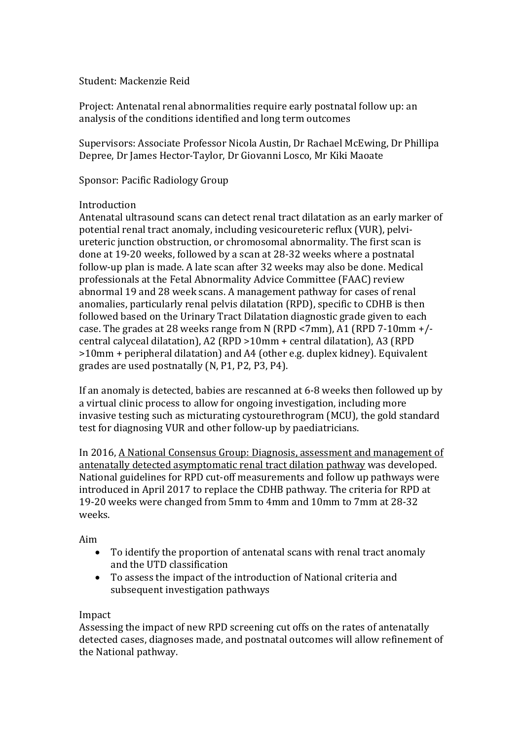## Student: Mackenzie Reid

Project: Antenatal renal abnormalities require early postnatal follow up: an analysis of the conditions identified and long term outcomes

Supervisors: Associate Professor Nicola Austin, Dr Rachael McEwing, Dr Phillipa Depree, Dr James Hector-Taylor, Dr Giovanni Losco, Mr Kiki Maoate

Sponsor: Pacific Radiology Group

## Introduction

Antenatal ultrasound scans can detect renal tract dilatation as an early marker of potential renal tract anomaly, including vesicoureteric reflux (VUR), pelviureteric junction obstruction, or chromosomal abnormality. The first scan is done at 19-20 weeks, followed by a scan at 28-32 weeks where a postnatal follow-up plan is made. A late scan after 32 weeks may also be done. Medical professionals at the Fetal Abnormality Advice Committee (FAAC) review abnormal 19 and 28 week scans. A management pathway for cases of renal anomalies, particularly renal pelvis dilatation (RPD), specific to CDHB is then followed based on the Urinary Tract Dilatation diagnostic grade given to each case. The grades at 28 weeks range from N (RPD <7mm), A1 (RPD 7-10mm +/ central calyceal dilatation), A2 (RPD >10mm + central dilatation), A3 (RPD >10mm + peripheral dilatation) and A4 (other e.g. duplex kidney). Equivalent grades are used postnatally (N, P1, P2, P3, P4).

If an anomaly is detected, babies are rescanned at 6-8 weeks then followed up by a virtual clinic process to allow for ongoing investigation, including more invasive testing such as micturating cystourethrogram (MCU), the gold standard test for diagnosing VUR and other follow-up by paediatricians.

In 2016, A National Consensus Group: Diagnosis, assessment and management of antenatally detected asymptomatic renal tract dilation pathway was developed. National guidelines for RPD cut-off measurements and follow up pathways were introduced in April 2017 to replace the CDHB pathway. The criteria for RPD at 19-20 weeks were changed from 5mm to 4mm and 10mm to 7mm at 28-32 weeks.

### Aim

- To identify the proportion of antenatal scans with renal tract anomaly and the UTD classification
- To assess the impact of the introduction of National criteria and subsequent investigation pathways

# Impact

Assessing the impact of new RPD screening cut offs on the rates of antenatally detected cases, diagnoses made, and postnatal outcomes will allow refinement of the National pathway.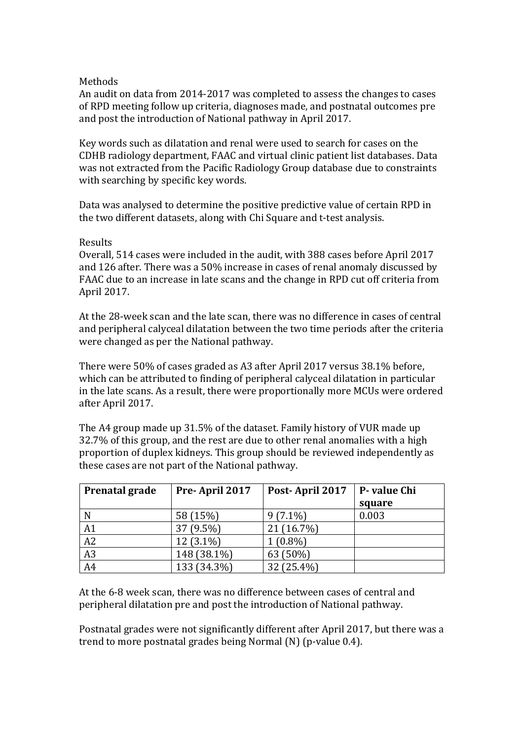## Methods

An audit on data from 2014-2017 was completed to assess the changes to cases of RPD meeting follow up criteria, diagnoses made, and postnatal outcomes pre and post the introduction of National pathway in April 2017.

Key words such as dilatation and renal were used to search for cases on the CDHB radiology department, FAAC and virtual clinic patient list databases. Data was not extracted from the Pacific Radiology Group database due to constraints with searching by specific key words.

Data was analysed to determine the positive predictive value of certain RPD in the two different datasets, along with Chi Square and t-test analysis.

### Results

Overall, 514 cases were included in the audit, with 388 cases before April 2017 and 126 after. There was a 50% increase in cases of renal anomaly discussed by FAAC due to an increase in late scans and the change in RPD cut off criteria from April 2017.

At the 28-week scan and the late scan, there was no difference in cases of central and peripheral calyceal dilatation between the two time periods after the criteria were changed as per the National pathway.

There were 50% of cases graded as A3 after April 2017 versus 38.1% before, which can be attributed to finding of peripheral calyceal dilatation in particular in the late scans. As a result, there were proportionally more MCUs were ordered after April 2017.

The A4 group made up 31.5% of the dataset. Family history of VUR made up 32.7% of this group, and the rest are due to other renal anomalies with a high proportion of duplex kidneys. This group should be reviewed independently as these cases are not part of the National pathway.

| Prenatal grade | Pre-April 2017 | Post-April 2017 | P-value Chi |
|----------------|----------------|-----------------|-------------|
|                |                |                 | square      |
|                | 58 (15%)       | $9(7.1\%)$      | 0.003       |
| A1             | 37 (9.5%)      | 21 (16.7%)      |             |
| A2             | $12(3.1\%)$    | $1(0.8\%)$      |             |
| A3             | 148 (38.1%)    | 63 (50%)        |             |
| A <sub>4</sub> | 133 (34.3%)    | 32 (25.4%)      |             |

At the 6-8 week scan, there was no difference between cases of central and peripheral dilatation pre and post the introduction of National pathway.

Postnatal grades were not significantly different after April 2017, but there was a trend to more postnatal grades being Normal (N) (p-value 0.4).